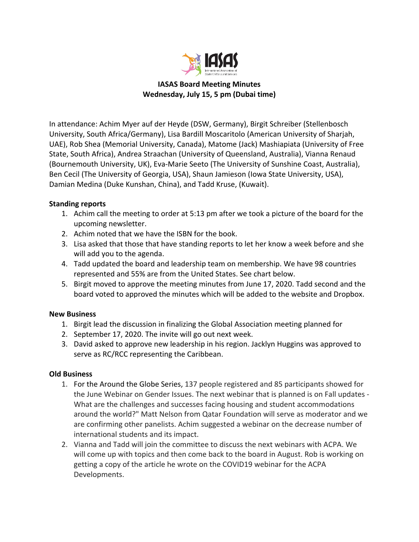

**IASAS Board Meeting Minutes Wednesday, July 15, 5 pm (Dubai time)**

In attendance: Achim Myer auf der Heyde (DSW, Germany), Birgit Schreiber (Stellenbosch University, South Africa/Germany), Lisa Bardill Moscaritolo (American University of Sharjah, UAE), Rob Shea (Memorial University, Canada), Matome (Jack) Mashiapiata (University of Free State, South Africa), Andrea Straachan (University of Queensland, Australia), Vianna Renaud (Bournemouth University, UK), Eva-Marie Seeto (The University of Sunshine Coast, Australia), Ben Cecil (The University of Georgia, USA), Shaun Jamieson (Iowa State University, USA), Damian Medina (Duke Kunshan, China), and Tadd Kruse, (Kuwait).

## **Standing reports**

- 1. Achim call the meeting to order at 5:13 pm after we took a picture of the board for the upcoming newsletter.
- 2. Achim noted that we have the ISBN for the book.
- 3. Lisa asked that those that have standing reports to let her know a week before and she will add you to the agenda.
- 4. Tadd updated the board and leadership team on membership. We have 98 countries represented and 55% are from the United States. See chart below.
- 5. Birgit moved to approve the meeting minutes from June 17, 2020. Tadd second and the board voted to approved the minutes which will be added to the website and Dropbox.

## **New Business**

- 1. Birgit lead the discussion in finalizing the Global Association meeting planned for
- 2. September 17, 2020. The invite will go out next week.
- 3. David asked to approve new leadership in his region. Jacklyn Huggins was approved to serve as RC/RCC representing the Caribbean.

## **Old Business**

- 1. For the Around the Globe Series, 137 people registered and 85 participants showed for the June Webinar on Gender Issues. The next webinar that is planned is on Fall updates - What are the challenges and successes facing housing and student accommodations around the world?" Matt Nelson from Qatar Foundation will serve as moderator and we are confirming other panelists. Achim suggested a webinar on the decrease number of international students and its impact.
- 2. Vianna and Tadd will join the committee to discuss the next webinars with ACPA. We will come up with topics and then come back to the board in August. Rob is working on getting a copy of the article he wrote on the COVID19 webinar for the ACPA Developments.